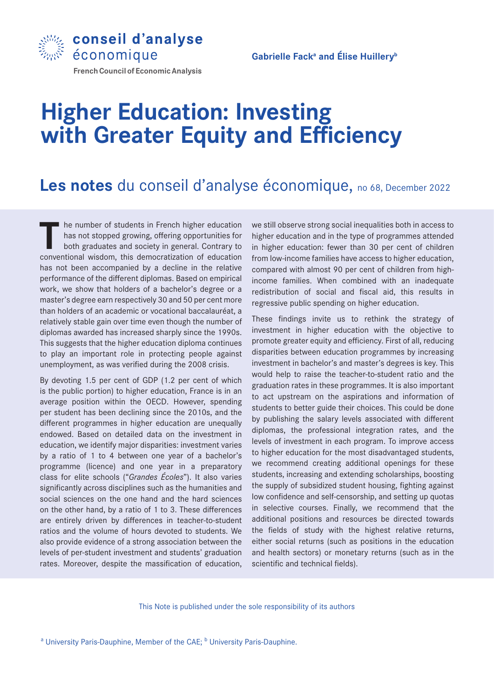

Gabrielle Fack<sup>a</sup> and Élise Huillery<sup>b</sup>

# **French Council of Economic Analysis**

# **Higher Education: Investing with Greater Equity and Efficiency**

# Les notes du conseil d'analyse économique, no 68, December 2022

The number of students in French higher education<br>has not stopped growing, offering opportunities for<br>both graduates and society in general. Contrary to<br>conventional wisdom, this democratization of education has not stopped growing, offering opportunities for both graduates and society in general. Contrary to conventional wisdom, this democratization of education has not been accompanied by a decline in the relative performance of the different diplomas. Based on empirical work, we show that holders of a bachelor's degree or a master's degree earn respectively 30 and 50 per cent more than holders of an academic or vocational baccalauréat, a relatively stable gain over time even though the number of diplomas awarded has increased sharply since the 1990s. This suggests that the higher education diploma continues to play an important role in protecting people against unemployment, as was verified during the 2008 crisis.

By devoting 1.5 per cent of GDP (1.2 per cent of which is the public portion) to higher education, France is in an average position within the OECD. However, spending per student has been declining since the 2010s, and the different programmes in higher education are unequally endowed. Based on detailed data on the investment in education, we identify major disparities: investment varies by a ratio of 1 to 4 between one year of a bachelor's programme (licence) and one year in a preparatory class for elite schools ("*Grandes Écoles*"). It also varies significantly across disciplines such as the humanities and social sciences on the one hand and the hard sciences on the other hand, by a ratio of 1 to 3. These differences are entirely driven by differences in teacher-to-student ratios and the volume of hours devoted to students. We also provide evidence of a strong association between the levels of per-student investment and students' graduation rates. Moreover, despite the massification of education,

we still observe strong social inequalities both in access to higher education and in the type of programmes attended in higher education: fewer than 30 per cent of children from low-income families have access to higher education, compared with almost 90 per cent of children from highincome families. When combined with an inadequate redistribution of social and fiscal aid, this results in regressive public spending on higher education.

These findings invite us to rethink the strategy of investment in higher education with the objective to promote greater equity and efficiency. First of all, reducing disparities between education programmes by increasing investment in bachelor's and master's degrees is key. This would help to raise the teacher-to-student ratio and the graduation rates in these programmes. It is also important to act upstream on the aspirations and information of students to better guide their choices. This could be done by publishing the salary levels associated with different diplomas, the professional integration rates, and the levels of investment in each program. To improve access to higher education for the most disadvantaged students, we recommend creating additional openings for these students, increasing and extending scholarships, boosting the supply of subsidized student housing, fighting against low confidence and self-censorship, and setting up quotas in selective courses. Finally, we recommend that the additional positions and resources be directed towards the fields of study with the highest relative returns, either social returns (such as positions in the education and health sectors) or monetary returns (such as in the scientific and technical fields).

This Note is published under the sole responsibility of its authors

<sup>a</sup> University Paris-Dauphine, Member of the CAE; <sup>b</sup> University Paris-Dauphine.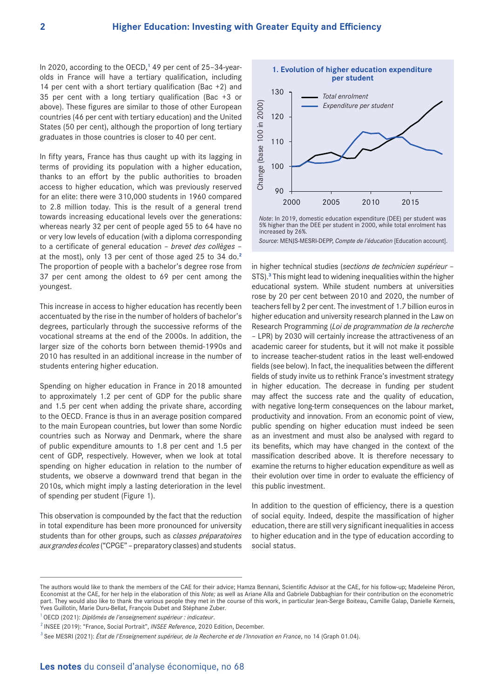In 2020, according to the OECD,**1** 49 per cent of 25–34-yearolds in France will have a tertiary qualification, including 14 per cent with a short tertiary qualification (Bac +2) and 35 per cent with a long tertiary qualification (Bac +3 or above). These figures are similar to those of other European countries (46 per cent with tertiary education) and the United States (50 per cent), although the proportion of long tertiary graduates in those countries is closer to 40 per cent.

In fifty years, France has thus caught up with its lagging in terms of providing its population with a higher education, thanks to an effort by the public authorities to broaden access to higher education, which was previously reserved for an elite: there were 310,000 students in 1960 compared to 2.8 million today. This is the result of a general trend towards increasing educational levels over the generations: whereas nearly 32 per cent of people aged 55 to 64 have no or very low levels of education (with a diploma corresponding to a certificate of general education – *brevet des collèges* – at the most), only 13 per cent of those aged 25 to 34 do.**<sup>2</sup>** The proportion of people with a bachelor's degree rose from 37 per cent among the oldest to 69 per cent among the youngest.

This increase in access to higher education has recently been accentuated by the rise in the number of holders of bachelor's degrees, particularly through the successive reforms of the vocational streams at the end of the 2000s. In addition, the larger size of the cohorts born between themid-1990s and 2010 has resulted in an additional increase in the number of students entering higher education.

Spending on higher education in France in 2018 amounted to approximately 1.2 per cent of GDP for the public share and 1.5 per cent when adding the private share, according to the OECD. France is thus in an average position compared to the main European countries, but lower than some Nordic countries such as Norway and Denmark, where the share of public expenditure amounts to 1.8 per cent and 1.5 per cent of GDP, respectively. However, when we look at total spending on higher education in relation to the number of students, we observe a downward trend that began in the 2010s, which might imply a lasting deterioration in the level of spending per student (Figure 1).

This observation is compounded by the fact that the reduction in total expenditure has been more pronounced for university students than for other groups, such as *classes préparatoires aux grandes écoles* ("CPGE" – preparatory classes) and students



*Note*: In 2019, domestic education expenditure (DEE) per student was 5% higher than the DEE per student in 2000, while total enrolment has increased by 26%.

in higher technical studies (*sections de technicien supérieur* – STS).**<sup>3</sup>** This might lead to widening inequalities within the higher educational system. While student numbers at universities rose by 20 per cent between 2010 and 2020, the number of teachers fell by 2 per cent. The investment of 1.7 billion euros in higher education and university research planned in the Law on Research Programming (*Loi de programmation de la recherche* – LPR) by 2030 will certainly increase the attractiveness of an academic career for students, but it will not make it possible to increase teacher-student ratios in the least well-endowed fields (see below). In fact, the inequalities between the different fields of study invite us to rethink France's investment strategy in higher education. The decrease in funding per student may affect the success rate and the quality of education, with negative long-term consequences on the labour market, productivity and innovation. From an economic point of view, public spending on higher education must indeed be seen as an investment and must also be analysed with regard to its benefits, which may have changed in the context of the massification described above. It is therefore necessary to examine the returns to higher education expenditure as well as their evolution over time in order to evaluate the efficiency of this public investment.

In addition to the question of efficiency, there is a question of social equity. Indeed, despite the massification of higher education, there are still very significant inequalities in access to higher education and in the type of education according to social status.

The authors would like to thank the members of the CAE for their advice; Hamza Bennani, Scientific Advisor at the CAE, for his follow-up; Madeleine Péron, Economist at the CAE, for her help in the elaboration of this *Note;* as well as Ariane Alla and Gabriele Dabbaghian for their contribution on the econometric part. They would also like to thank the various people they met in the course of this work, in particular Jean-Serge Boiteau, Camille Galap, Danielle Kerneis, Yves Guillotin, Marie Duru-Bellat, François Dubet and Stéphane Zuber.

<sup>1</sup> OECD (2021): *Diplômés de l'enseignement supérieur : indicateur*.

<sup>2</sup> INSEE (2019): "France, Social Portrait", *INSEE Reference*, 2020 Edition, December.

<sup>3</sup> See MESRI (2021): *État de l'Enseignement supérieur, de la Recherche et de l'Innovation en France*, no 14 (Graph 01.04).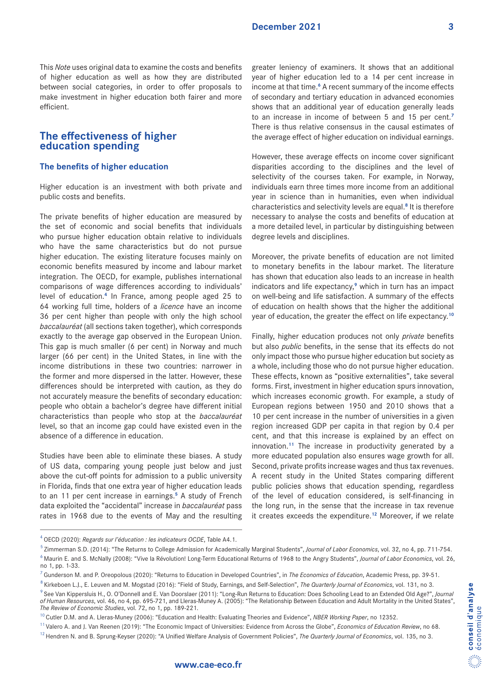This *Note* uses original data to examine the costs and benefits of higher education as well as how they are distributed between social categories, in order to offer proposals to make investment in higher education both fairer and more efficient.

# **The effectiveness of higher education spending**

# **The benefits of higher education**

Higher education is an investment with both private and public costs and benefits.

The private benefits of higher education are measured by the set of economic and social benefits that individuals who pursue higher education obtain relative to individuals who have the same characteristics but do not pursue higher education. The existing literature focuses mainly on economic benefits measured by income and labour market integration. The OECD, for example, publishes international comparisons of wage differences according to individuals' level of education.**4** In France, among people aged 25 to 64 working full time, holders of a *licence* have an income 36 per cent higher than people with only the high school *baccalauréat* (all sections taken together), which corresponds exactly to the average gap observed in the European Union. This gap is much smaller (6 per cent) in Norway and much larger (66 per cent) in the United States, in line with the income distributions in these two countries: narrower in the former and more dispersed in the latter. However, these differences should be interpreted with caution, as they do not accurately measure the benefits of secondary education: people who obtain a bachelor's degree have different initial characteristics than people who stop at the *baccalauréat* level, so that an income gap could have existed even in the absence of a difference in education.

Studies have been able to eliminate these biases. A study of US data, comparing young people just below and just above the cut-off points for admission to a public university in Florida, finds that one extra year of higher education leads to an 11 per cent increase in earnings.**5** A study of French data exploited the "accidental" increase in *baccalauréat* pass rates in 1968 due to the events of May and the resulting

greater leniency of examiners. It shows that an additional year of higher education led to a 14 per cent increase in income at that time.**6** A recent summary of the income effects of secondary and tertiary education in advanced economies shows that an additional year of education generally leads to an increase in income of between 5 and 15 per cent.**<sup>7</sup>** There is thus relative consensus in the causal estimates of the average effect of higher education on individual earnings.

However, these average effects on income cover significant disparities according to the disciplines and the level of selectivity of the courses taken. For example, in Norway, individuals earn three times more income from an additional year in science than in humanities, even when individual characteristics and selectivity levels are equal.**8** It is therefore necessary to analyse the costs and benefits of education at a more detailed level, in particular by distinguishing between degree levels and disciplines.

Moreover, the private benefits of education are not limited to monetary benefits in the labour market. The literature has shown that education also leads to an increase in health indicators and life expectancy,**9** which in turn has an impact on well-being and life satisfaction. A summary of the effects of education on health shows that the higher the additional year of education, the greater the effect on life expectancy.**<sup>10</sup>**

Finally, higher education produces not only *private* benefits but also *public* benefits, in the sense that its effects do not only impact those who pursue higher education but society as a whole, including those who do not pursue higher education. These effects, known as "positive externalities", take several forms. First, investment in higher education spurs innovation, which increases economic growth. For example, a study of European regions between 1950 and 2010 shows that a 10 per cent increase in the number of universities in a given region increased GDP per capita in that region by 0.4 per cent, and that this increase is explained by an effect on innovation.**11** The increase in productivity generated by a more educated population also ensures wage growth for all. Second, private profits increase wages and thus tax revenues. A recent study in the United States comparing different public policies shows that education spending, regardless of the level of education considered, is self-financing in the long run, in the sense that the increase in tax revenue it creates exceeds the expenditure.**12** Moreover, if we relate

<sup>4</sup> OECD (2020): *Regards sur l'éducation : les indicateurs OCDE*, Table A4.1.

<sup>5</sup> Zimmerman S.D. (2014): "The Returns to College Admission for Academically Marginal Students", *Journal of Labor Economics*, vol. 32, no 4, pp. 711-754. 6 Maurin E. and S. McNally (2008): "Vive la Révolution! Long-Term Educational Returns of 1968 to the Angry Students", *Journal of Labor Economics*, vol. 26, no 1, pp. 1-33.

<sup>7</sup> Gunderson M. and P. Oreopolous (2020): "Returns to Education in Developed Countries", in *The Economics of Education*, Academic Press, pp. 39-51.

<sup>8</sup> Kirkeboen L.J., E. Leuven and M. Mogstad (2016): "Field of Study, Earnings, and Self-Selection", *The Quarterly Journal of Economics*, vol. 131, no 3.

<sup>9</sup> See Van Kippersluis H., O. O'Donnell and E. Van Doorslaer (2011): "Long-Run Returns to Education: Does Schooling Lead to an Extended Old Age?", *Journal of Human Resources*, vol. 46, no 4, pp. 695-721, and Lleras-Muney A. (2005): "The Relationship Between Education and Adult Mortality in the United States", *The Review of Economic Studies*, vol. 72, no 1, pp. 189-221.

<sup>&</sup>lt;sup>10</sup> Cutler D.M. and A. Lleras-Muney (2006): "Education and Health: Evaluating Theories and Evidence", *NBER Working Paper*, no 12352.

<sup>11</sup> Valero A. and J. Van Reenen (2019): "The Economic Impact of Universities: Evidence from Across the Globe", *Economics of Education Review*, no 68.

<sup>12</sup> Hendren N. and B. Sprung-Keyser (2020): "A Unified Welfare Analysis of Government Policies", *The Quarterly Journal of Economics*, vol. 135, no 3.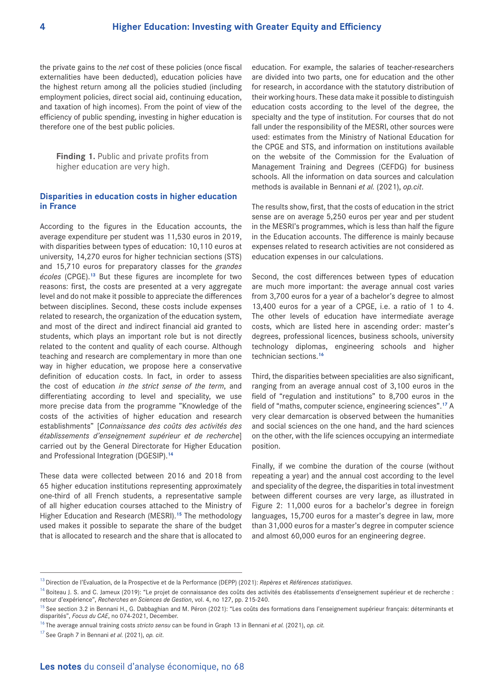the private gains to the *net* cost of these policies (once fiscal externalities have been deducted), education policies have the highest return among all the policies studied (including employment policies, direct social aid, continuing education, and taxation of high incomes). From the point of view of the efficiency of public spending, investing in higher education is therefore one of the best public policies.

**Finding 1.** Public and private profits from higher education are very high.

# **Disparities in education costs in higher education in France**

According to the figures in the Education accounts, the average expenditure per student was 11,530 euros in 2019, with disparities between types of education: 10,110 euros at university, 14,270 euros for higher technician sections (STS) and 15,710 euros for preparatory classes for the *grandes écoles* (CPGE).**13** But these figures are incomplete for two reasons: first, the costs are presented at a very aggregate level and do not make it possible to appreciate the differences between disciplines. Second, these costs include expenses related to research, the organization of the education system, and most of the direct and indirect financial aid granted to students, which plays an important role but is not directly related to the content and quality of each course. Although teaching and research are complementary in more than one way in higher education, we propose here a conservative definition of education costs. In fact, in order to assess the cost of education *in the strict sense of the term*, and differentiating according to level and speciality, we use more precise data from the programme "Knowledge of the costs of the activities of higher education and research establishments" [*Connaissance des coûts des activités des établissements d'enseignement supérieur et de recherche*] carried out by the General Directorate for Higher Education and Professional Integration (DGESIP).**<sup>14</sup>**

These data were collected between 2016 and 2018 from 65 higher education institutions representing approximately one-third of all French students, a representative sample of all higher education courses attached to the Ministry of Higher Education and Research (MESRI).**15** The methodology used makes it possible to separate the share of the budget that is allocated to research and the share that is allocated to

education. For example, the salaries of teacher-researchers are divided into two parts, one for education and the other for research, in accordance with the statutory distribution of their working hours. These data make it possible to distinguish education costs according to the level of the degree, the specialty and the type of institution. For courses that do not fall under the responsibility of the MESRI, other sources were used: estimates from the Ministry of National Education for the CPGE and STS, and information on institutions available on the website of the Commission for the Evaluation of Management Training and Degrees (CEFDG) for business schools. All the information on data sources and calculation methods is available in Bennani *et al.* (2021), *op.cit*.

The results show, first, that the costs of education in the strict sense are on average 5,250 euros per year and per student in the MESRI's programmes, which is less than half the figure in the Education accounts. The difference is mainly because expenses related to research activities are not considered as education expenses in our calculations.

Second, the cost differences between types of education are much more important: the average annual cost varies from 3,700 euros for a year of a bachelor's degree to almost 13,400 euros for a year of a CPGE, i.e. a ratio of 1 to 4. The other levels of education have intermediate average costs, which are listed here in ascending order: master's degrees, professional licences, business schools, university technology diplomas, engineering schools and higher technician sections.**<sup>16</sup>**

Third, the disparities between specialities are also significant, ranging from an average annual cost of 3,100 euros in the field of "regulation and institutions" to 8,700 euros in the field of "maths, computer science, engineering sciences".**17** A very clear demarcation is observed between the humanities and social sciences on the one hand, and the hard sciences on the other, with the life sciences occupying an intermediate position.

Finally, if we combine the duration of the course (without repeating a year) and the annual cost according to the level and speciality of the degree, the disparities in total investment between different courses are very large, as illustrated in Figure 2: 11,000 euros for a bachelor's degree in foreign languages, 15,700 euros for a master's degree in law, more than 31,000 euros for a master's degree in computer science and almost 60,000 euros for an engineering degree.

<sup>13</sup> Direction de l'Evaluation, de la Prospective et de la Performance (DEPP) (2021): *Repères* et *Références statistiques*.

<sup>&</sup>lt;sup>14</sup> Boiteau J. S. and C. Jameux (2019): "Le projet de connaissance des coûts des activités des établissements d'enseignement supérieur et de recherche : retour d'expérience", *Recherches en Sciences de Gestion*, vol. 4, no 127, pp. 215-240.

<sup>&</sup>lt;sup>15</sup> See section 3.2 in Bennani H., G. Dabbaghian and M. Péron (2021): "Les coûts des formations dans l'enseignement supérieur français: déterminants et disparités", *Focus du CAE*, no 074-2021, December.

<sup>16</sup> The average annual training costs *stricto sensu* can be found in Graph 13 in Bennani *et al.* (2021), *op. cit.*

<sup>17</sup> See Graph 7 in Bennani *et al.* (2021), *op. cit*.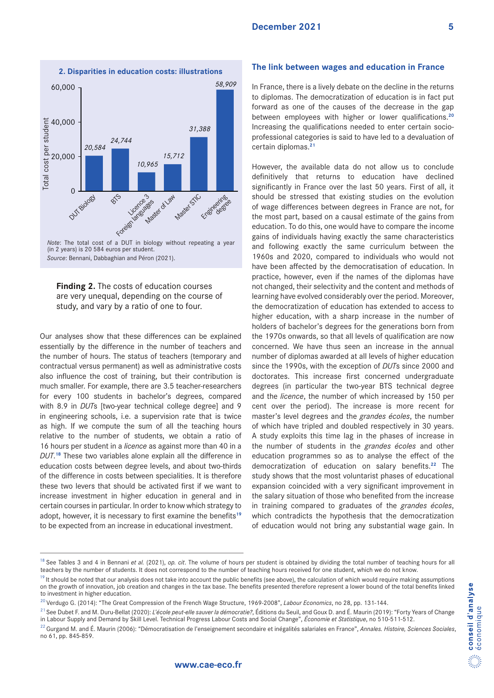

*Source*: Bennani, Dabbaghian and Péron (2021).

# **Finding 2.** The costs of education courses are very unequal, depending on the course of study, and vary by a ratio of one to four.

Our analyses show that these differences can be explained essentially by the difference in the number of teachers and the number of hours. The status of teachers (temporary and contractual versus permanent) as well as administrative costs also influence the cost of training, but their contribution is much smaller. For example, there are 3.5 teacher-researchers for every 100 students in bachelor's degrees, compared with 8.9 in *DUT*s [two-year technical college degree] and 9 in engineering schools, i.e. a supervision rate that is twice as high. If we compute the sum of all the teaching hours relative to the number of students, we obtain a ratio of 16 hours per student in a *licence* as against more than 40 in a *DUT*. **<sup>18</sup>** These two variables alone explain all the difference in education costs between degree levels, and about two-thirds of the difference in costs between specialities. It is therefore these two levers that should be activated first if we want to increase investment in higher education in general and in certain courses in particular. In order to know which strategy to adopt, however, it is necessary to first examine the benefits**<sup>19</sup>** to be expected from an increase in educational investment.

#### **The link between wages and education in France**

In France, there is a lively debate on the decline in the returns to diplomas. The democratization of education is in fact put forward as one of the causes of the decrease in the gap between employees with higher or lower qualifications.**<sup>20</sup>** Increasing the qualifications needed to enter certain socioprofessional categories is said to have led to a devaluation of certain diplomas.**<sup>21</sup>**

However, the available data do not allow us to conclude definitively that returns to education have declined significantly in France over the last 50 years. First of all, it should be stressed that existing studies on the evolution of wage differences between degrees in France are not, for the most part, based on a causal estimate of the gains from education. To do this, one would have to compare the income gains of individuals having exactly the same characteristics and following exactly the same curriculum between the 1960s and 2020, compared to individuals who would not have been affected by the democratisation of education. In practice, however, even if the names of the diplomas have not changed, their selectivity and the content and methods of learning have evolved considerably over the period. Moreover, the democratization of education has extended to access to higher education, with a sharp increase in the number of holders of bachelor's degrees for the generations born from the 1970s onwards, so that all levels of qualification are now concerned. We have thus seen an increase in the annual number of diplomas awarded at all levels of higher education since the 1990s, with the exception of *DUT*s since 2000 and doctorates. This increase first concerned undergraduate degrees (in particular the two-year BTS technical degree and the *licence*, the number of which increased by 150 per cent over the period). The increase is more recent for master's level degrees and the *grandes écoles*, the number of which have tripled and doubled respectively in 30 years. A study exploits this time lag in the phases of increase in the number of students in the *grandes écoles* and other education programmes so as to analyse the effect of the democratization of education on salary benefits.**22** The study shows that the most voluntarist phases of educational expansion coincided with a very significant improvement in the salary situation of those who benefited from the increase in training compared to graduates of the *grandes écoles*, which contradicts the hypothesis that the democratization of education would not bring any substantial wage gain. In

<sup>&</sup>lt;sup>18</sup> See Tables 3 and 4 in Bennani et al. (2021), op. cit. The volume of hours per student is obtained by dividing the total number of teaching hours for all teachers by the number of students. It does not correspond to the number of teaching hours received for one student, which we do not know.

 $19$  It should be noted that our analysis does not take into account the public benefits (see above), the calculation of which would require making assumptions on the growth of innovation, job creation and changes in the tax base. The benefits presented therefore represent a lower bound of the total benefits linked to investment in higher education.

<sup>20</sup> Verdugo G. (2014): "The Great Compression of the French Wage Structure, 1969-2008", *Labour Economics*, no 28, pp. 131-144.

<sup>&</sup>lt;sup>21</sup> See Dubet F. and M. Duru-Bellat (2020): *L'école peut-elle sauver la démocratie?*, Éditions du Seuil, and Goux D. and É. Maurin (2019): "Forty Years of Change in Labour Supply and Demand by Skill Level. Technical Progress Labour Costs and Social Change", *Économie et Statistique*, no 510-511-512.

<sup>22</sup> Gurgand M. and É. Maurin (2006): "Démocratisation de l'enseignement secondaire et inégalités salariales en France", *Annales. Histoire, Sciences Sociales*, no 61, pp. 845-859.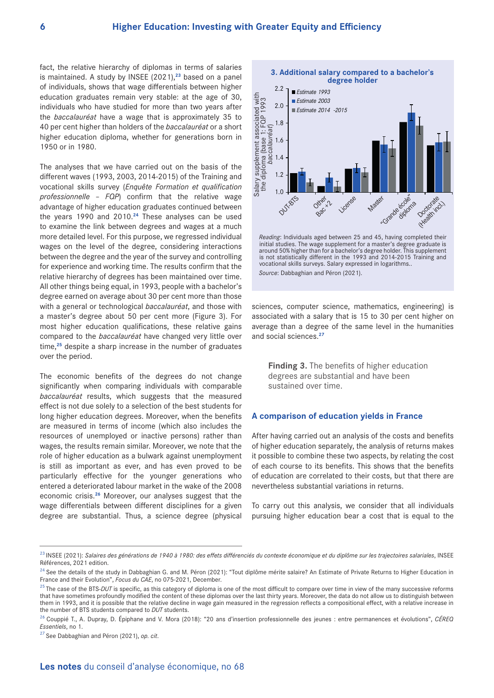fact, the relative hierarchy of diplomas in terms of salaries is maintained. A study by INSEE (2021),**23** based on a panel of individuals, shows that wage differentials between higher education graduates remain very stable: at the age of 30, individuals who have studied for more than two years after the *baccalauréat* have a wage that is approximately 35 to 40 per cent higher than holders of the *baccalauréat* or a short higher education diploma, whether for generations born in 1950 or in 1980.

The analyses that we have carried out on the basis of the different waves (1993, 2003, 2014-2015) of the Training and vocational skills survey (*Enquête Formation et qualification professionnelle – FQP*) confirm that the relative wage advantage of higher education graduates continued between the years 1990 and 2010.**24** These analyses can be used to examine the link between degrees and wages at a much more detailed level. For this purpose, we regressed individual wages on the level of the degree, considering interactions between the degree and the year of the survey and controlling for experience and working time. The results confirm that the relative hierarchy of degrees has been maintained over time. All other things being equal, in 1993, people with a bachelor's degree earned on average about 30 per cent more than those with a general or technological *baccalauréat*, and those with a master's degree about 50 per cent more (Figure 3). For most higher education qualifications, these relative gains compared to the *baccalauréat* have changed very little over time,**25** despite a sharp increase in the number of graduates over the period.

The economic benefits of the degrees do not change significantly when comparing individuals with comparable *baccalauréat* results, which suggests that the measured effect is not due solely to a selection of the best students for long higher education degrees. Moreover, when the benefits are measured in terms of income (which also includes the resources of unemployed or inactive persons) rather than wages, the results remain similar. Moreover, we note that the role of higher education as a bulwark against unemployment is still as important as ever, and has even proved to be particularly effective for the younger generations who entered a deteriorated labour market in the wake of the 2008 economic crisis.**26** Moreover, our analyses suggest that the wage differentials between different disciplines for a given degree are substantial. Thus, a science degree (physical



*Reading*: Individuals aged between 25 and 45, having completed their initial studies. The wage supplement for a master's degree graduate is around 50% higher than for a bachelor's degree holder. This supplement is not statistically different in the 1993 and 2014-2015 Training and vocational skills surveys. Salary expressed in logarithms..

sciences, computer science, mathematics, engineering) is associated with a salary that is 15 to 30 per cent higher on average than a degree of the same level in the humanities and social sciences.**<sup>27</sup>**

**Finding 3.** The benefits of higher education degrees are substantial and have been sustained over time.

#### **A comparison of education yields in France**

After having carried out an analysis of the costs and benefits of higher education separately, the analysis of returns makes it possible to combine these two aspects, by relating the cost of each course to its benefits. This shows that the benefits of education are correlated to their costs, but that there are nevertheless substantial variations in returns.

To carry out this analysis, we consider that all individuals pursuing higher education bear a cost that is equal to the

<sup>23</sup> INSEE (2021): *Salaires des générations de 1940 à 1980: des effets différenciés du contexte économique et du diplôme sur les trajectoires salariales*, INSEE Références, 2021 edition.

<sup>&</sup>lt;sup>24</sup> See the details of the study in Dabbaghian G. and M. Péron (2021): "Tout diplôme mérite salaire? An Estimate of Private Returns to Higher Education in France and their Evolution", *Focus du CAE*, no 075-2021, December.

<sup>&</sup>lt;sup>25</sup> The case of the BTS-DUT is specific, as this category of diploma is one of the most difficult to compare over time in view of the many successive reforms that have sometimes profoundly modified the content of these diplomas over the last thirty years. Moreover, the data do not allow us to distinguish between them in 1993, and it is possible that the relative decline in wage gain measured in the regression reflects a compositional effect, with a relative increase in the number of BTS students compared to *DUT* students.

<sup>26</sup> Couppié T., A. Dupray, D. Épiphane and V. Mora (2018): "20 ans d'insertion professionnelle des jeunes : entre permanences et évolutions", *CÉREQ Essentiels*, no 1.

<sup>27</sup> See Dabbaghian and Péron (2021), *op. cit*.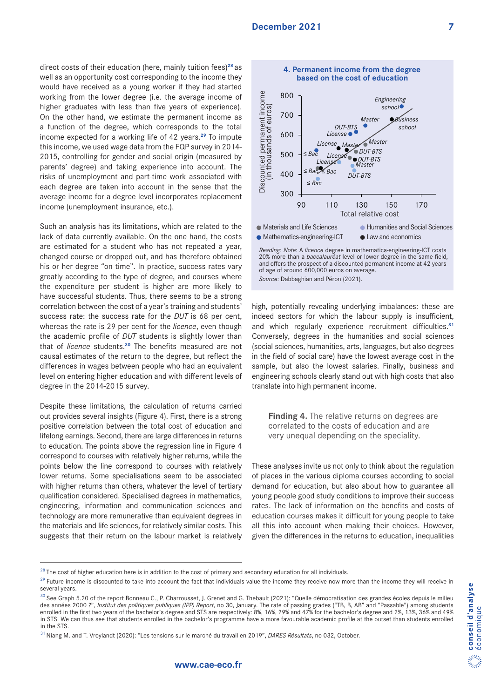direct costs of their education (here, mainly tuition fees)**<sup>28</sup>** as well as an opportunity cost corresponding to the income they would have received as a young worker if they had started working from the lower degree (i.e. the average income of higher graduates with less than five years of experience). On the other hand, we estimate the permanent income as a function of the degree, which corresponds to the total income expected for a working life of 42 years.**29** To impute this income, we used wage data from the FQP survey in 2014- 2015, controlling for gender and social origin (measured by parents' degree) and taking experience into account. The risks of unemployment and part-time work associated with each degree are taken into account in the sense that the average income for a degree level incorporates replacement income (unemployment insurance, etc.).

Such an analysis has its limitations, which are related to the lack of data currently available. On the one hand, the costs are estimated for a student who has not repeated a year, changed course or dropped out, and has therefore obtained his or her degree "on time". In practice, success rates vary greatly according to the type of degree, and courses where the expenditure per student is higher are more likely to have successful students. Thus, there seems to be a strong correlation between the cost of a year's training and students' success rate: the success rate for the *DUT* is 68 per cent, whereas the rate is 29 per cent for the *licence*, even though the academic profile of *DUT* students is slightly lower than that of *licence* students.**30** The benefits measured are not causal estimates of the return to the degree, but reflect the differences in wages between people who had an equivalent level on entering higher education and with different levels of degree in the 2014-2015 survey.

Despite these limitations, the calculation of returns carried out provides several insights (Figure 4). First, there is a strong positive correlation between the total cost of education and lifelong earnings. Second, there are large differences in returns to education. The points above the regression line in Figure 4 correspond to courses with relatively higher returns, while the points below the line correspond to courses with relatively lower returns. Some specialisations seem to be associated with higher returns than others, whatever the level of tertiary qualification considered. Specialised degrees in mathematics, engineering, information and communication sciences and technology are more remunerative than equivalent degrees in the materials and life sciences, for relatively similar costs. This suggests that their return on the labour market is relatively



20% more than a *baccalauréat* level or lower degree in the same field, and offers the prospect of a discounted permanent income at 42 years of age of around 600,000 euros on average.

high, potentially revealing underlying imbalances: these are indeed sectors for which the labour supply is insufficient, and which regularly experience recruitment difficulties.**<sup>31</sup>** Conversely, degrees in the humanities and social sciences (social sciences, humanities, arts, languages, but also degrees in the field of social care) have the lowest average cost in the sample, but also the lowest salaries. Finally, business and engineering schools clearly stand out with high costs that also translate into high permanent income.

**Finding 4.** The relative returns on degrees are correlated to the costs of education and are very unequal depending on the speciality.

These analyses invite us not only to think about the regulation of places in the various diploma courses according to social demand for education, but also about how to guarantee all young people good study conditions to improve their success rates. The lack of information on the benefits and costs of education courses makes it difficult for young people to take all this into account when making their choices. However, given the differences in the returns to education, inequalities

 $^{28}$  The cost of higher education here is in addition to the cost of primary and secondary education for all individuals.

<sup>&</sup>lt;sup>29</sup> Future income is discounted to take into account the fact that individuals value the income they receive now more than the income they will receive in several years.

<sup>&</sup>lt;sup>30</sup> See Graph 5.20 of the report Bonneau C., P. Charrousset, J. Grenet and G. Thebault (2021): "Quelle démocratisation des grandes écoles depuis le milieu des années 2000 ?", *Institut des politiques publiques (IPP) Report*, no 30, January. The rate of passing grades ("TB, B, AB" and "Passable") among students enrolled in the first two years of the bachelor's degree and STS are respectively: 8%, 16%, 29% and 47% for the bachelor's degree and 2%, 13%, 36% and 49% in STS. We can thus see that students enrolled in the bachelor's programme have a more favourable academic profile at the outset than students enrolled in the STS.

<sup>31</sup> Niang M. and T. Vroylandt (2020): "Les tensions sur le marché du travail en 2019", *DARES Résultats*, no 032, October.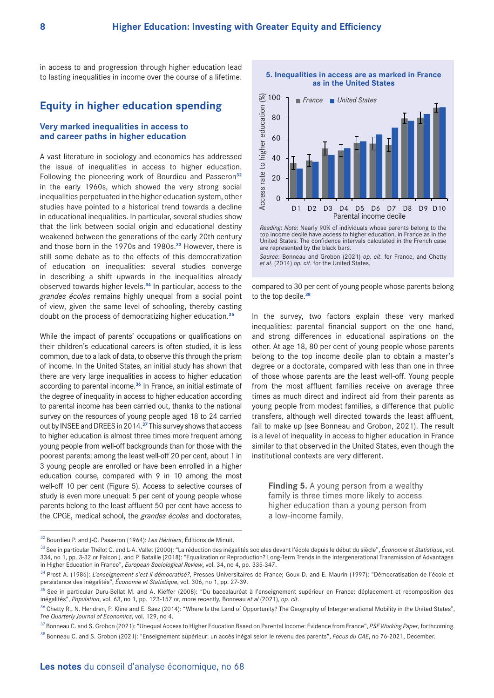in access to and progression through higher education lead to lasting inequalities in income over the course of a lifetime.

# **Equity in higher education spending**

### **Very marked inequalities in access to and career paths in higher education**

A vast literature in sociology and economics has addressed the issue of inequalities in access to higher education. Following the pioneering work of Bourdieu and Passeron**<sup>32</sup>** in the early 1960s, which showed the very strong social inequalities perpetuated in the higher education system, other studies have pointed to a historical trend towards a decline in educational inequalities. In particular, several studies show that the link between social origin and educational destiny weakened between the generations of the early 20th century and those born in the 1970s and 1980s.**33** However, there is still some debate as to the effects of this democratization of education on inequalities: several studies converge in describing a shift upwards in the inequalities already observed towards higher levels.**34** In particular, access to the *grandes écoles* remains highly unequal from a social point of view, given the same level of schooling, thereby casting doubt on the process of democratizing higher education.**<sup>35</sup>**

While the impact of parents' occupations or qualifications on their children's educational careers is often studied, it is less common, due to a lack of data, to observe this through the prism of income. In the United States, an initial study has shown that there are very large inequalities in access to higher education according to parental income.**36** In France, an initial estimate of the degree of inequality in access to higher education according to parental income has been carried out, thanks to the national survey on the resources of young people aged 18 to 24 carried out by INSEE and DREES in 2014.**37** This survey shows that access to higher education is almost three times more frequent among young people from well-off backgrounds than for those with the poorest parents: among the least well-off 20 per cent, about 1 in 3 young people are enrolled or have been enrolled in a higher education course, compared with 9 in 10 among the most well-off 10 per cent (Figure 5). Access to selective courses of study is even more unequal: 5 per cent of young people whose parents belong to the least affluent 50 per cent have access to the CPGE, medical school, the *grandes écoles* and doctorates,



**5. Inequalities in access are as marked in France** 



*Source*: Bonneau and Grobon (2021) *op. cit.* for France, and Chetty *et al.* (2014) *op. cit.* for the United States.

compared to 30 per cent of young people whose parents belong to the top decile.**<sup>38</sup>**

In the survey, two factors explain these very marked inequalities: parental financial support on the one hand, and strong differences in educational aspirations on the other. At age 18, 80 per cent of young people whose parents belong to the top income decile plan to obtain a master's degree or a doctorate, compared with less than one in three of those whose parents are the least well-off. Young people from the most affluent families receive on average three times as much direct and indirect aid from their parents as young people from modest families, a difference that public transfers, although well directed towards the least affluent, fail to make up (see Bonneau and Grobon, 2021). The result is a level of inequality in access to higher education in France similar to that observed in the United States, even though the institutional contexts are very different.

**Finding 5.** A young person from a wealthy family is three times more likely to access higher education than a young person from a low-income family.

<sup>32</sup> Bourdieu P. and J-C. Passeron (1964): *Les Héritiers*, Éditions de Minuit.

<sup>33</sup> See in particular Thélot C. and L-A. Vallet (2000): "La réduction des inégalités sociales devant l'école depuis le début du siècle", *Économie et Statistique*, vol. 334, no 1, pp. 3-32 or Falcon J. and P. Bataille (2018): "Equalization or Reproduction? Long-Term Trends in the Intergenerational Transmission of Advantages in Higher Education in France", *European Sociological Review*, vol. 34, no 4, pp. 335-347.

<sup>34</sup> Prost A. (1986): *L'enseignement s'est-il démocratisé?*, Presses Universitaires de France; Goux D. and E. Maurin (1997): "Démocratisation de l'école et persistance des inégalités", *Économie et Statistique*, vol. 306, no 1, pp. 27-39.

<sup>.&</sup>lt;br>See in particular Duru-Bellat M. and A. Kieffer (2008): "Du baccalauréat à l'enseignement supérieur en France: déplacement et recomposition des inégalités", *Population*, vol. 63, no 1, pp. 123-157 or, more recently, Bonneau *et al* (2021), *op. cit*.

<sup>&</sup>lt;sup>36</sup> Chetty R., N. Hendren, P. Kline and E. Saez (2014): "Where Is the Land of Opportunity? The Geography of Intergenerational Mobility in the United States", *The Quarterly Journal of Economics*, vol. 129, no 4.

<sup>37</sup> Bonneau C. and S. Grobon (2021): "Unequal Access to Higher Education Based on Parental Income: Evidence from France", *PSE Working Paper*, forthcoming.

<sup>38</sup> Bonneau C. and S. Grobon (2021): "Enseignement supérieur: un accès inégal selon le revenu des parents", *Focus du CAE*, no 76-2021, December.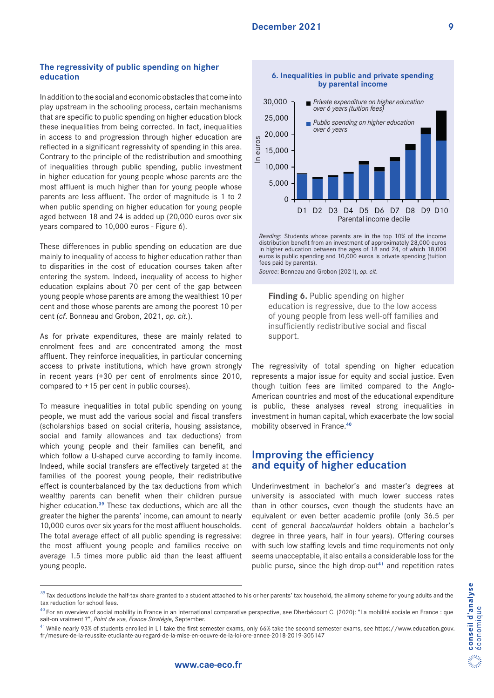# **The regressivity of public spending on higher education**

In addition to the social and economic obstacles that come into play upstream in the schooling process, certain mechanisms that are specific to public spending on higher education block these inequalities from being corrected. In fact, inequalities in access to and progression through higher education are reflected in a significant regressivity of spending in this area. Contrary to the principle of the redistribution and smoothing of inequalities through public spending, public investment in higher education for young people whose parents are the most affluent is much higher than for young people whose parents are less affluent. The order of magnitude is 1 to 2 when public spending on higher education for young people aged between 18 and 24 is added up (20,000 euros over six years compared to 10,000 euros - Figure 6).

These differences in public spending on education are due mainly to inequality of access to higher education rather than to disparities in the cost of education courses taken after entering the system. Indeed, inequality of access to higher education explains about 70 per cent of the gap between young people whose parents are among the wealthiest 10 per cent and those whose parents are among the poorest 10 per cent (*cf*. Bonneau and Grobon, 2021, *op. cit.*).

As for private expenditures, these are mainly related to enrolment fees and are concentrated among the most affluent. They reinforce inequalities, in particular concerning access to private institutions, which have grown strongly in recent years (+30 per cent of enrolments since 2010, compared to +15 per cent in public courses).

To measure inequalities in total public spending on young people, we must add the various social and fiscal transfers (scholarships based on social criteria, housing assistance, social and family allowances and tax deductions) from which young people and their families can benefit, and which follow a U-shaped curve according to family income. Indeed, while social transfers are effectively targeted at the families of the poorest young people, their redistributive effect is counterbalanced by the tax deductions from which wealthy parents can benefit when their children pursue higher education.**39** These tax deductions, which are all the greater the higher the parents' income, can amount to nearly 10,000 euros over six years for the most affluent households. The total average effect of all public spending is regressive: the most affluent young people and families receive on average 1.5 times more public aid than the least affluent young people.





*Reading*: Students whose parents are in the top 10% of the income distribution benefit from an investment of approximately 28,000 euros in higher education between the ages of 18 and 24, of which 18,000 euros is public spending and 10,000 euros is private spending (tuition fees paid by parents).

*Source*: Bonneau and Grobon (2021), *op. cit*.

**Finding 6. Public spending on higher** education is regressive, due to the low access of young people from less well-off families and insufficiently redistributive social and fiscal support.

The regressivity of total spending on higher education represents a major issue for equity and social justice. Even though tuition fees are limited compared to the Anglo-American countries and most of the educational expenditure is public, these analyses reveal strong inequalities in investment in human capital, which exacerbate the low social mobility observed in France.**<sup>40</sup>**

# **Improving the efficiency and equity of higher education**

Underinvestment in bachelor's and master's degrees at university is associated with much lower success rates than in other courses, even though the students have an equivalent or even better academic profile (only 36.5 per cent of general *baccalauréat* holders obtain a bachelor's degree in three years, half in four years). Offering courses with such low staffing levels and time requirements not only seems unacceptable, it also entails a considerable loss for the public purse, since the high drop-out**41** and repetition rates

<sup>&</sup>lt;sup>39</sup> Tax deductions include the half-tax share granted to a student attached to his or her parents' tax household, the alimony scheme for young adults and the tax reduction for school fees.

<sup>&</sup>lt;sup>40</sup> For an overview of social mobility in France in an international comparative perspective, see Dherbécourt C. (2020): "La mobilité sociale en France : que sait-on vraiment ?", *Point de vue, France Stratégie*, September.

<sup>&</sup>lt;sup>41</sup> While nearly 93% of students enrolled in L1 take the first semester exams, only 66% take the second semester exams, see https://www.education.gouv. fr/mesure-de-la-reussite-etudiante-au-regard-de-la-mise-en-oeuvre-de-la-loi-ore-annee-2018-2019-305147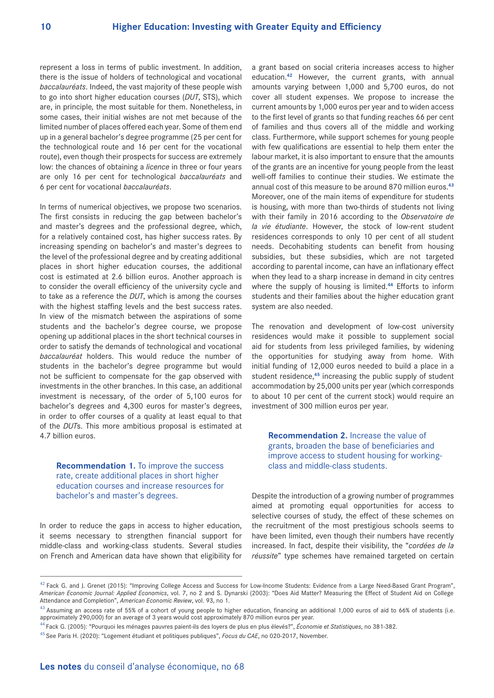represent a loss in terms of public investment. In addition, there is the issue of holders of technological and vocational *baccalauréats*. Indeed, the vast majority of these people wish to go into short higher education courses (*DUT*, STS), which are, in principle*,* the most suitable for them. Nonetheless, in some cases, their initial wishes are not met because of the limited number of places offered each year. Some of them end up in a general bachelor's degree programme (25 per cent for the technological route and 16 per cent for the vocational route), even though their prospects for success are extremely low: the chances of obtaining a *licence* in three or four years are only 16 per cent for technological *baccalauréats* and 6 per cent for vocational *baccalauréats*.

In terms of numerical objectives, we propose two scenarios. The first consists in reducing the gap between bachelor's and master's degrees and the professional degree, which, for a relatively contained cost, has higher success rates. By increasing spending on bachelor's and master's degrees to the level of the professional degree and by creating additional places in short higher education courses, the additional cost is estimated at 2.6 billion euros. Another approach is to consider the overall efficiency of the university cycle and to take as a reference the *DUT*, which is among the courses with the highest staffing levels and the best success rates. In view of the mismatch between the aspirations of some students and the bachelor's degree course, we propose opening up additional places in the short technical courses in order to satisfy the demands of technological and vocational *baccalauréat* holders. This would reduce the number of students in the bachelor's degree programme but would not be sufficient to compensate for the gap observed with investments in the other branches. In this case, an additional investment is necessary, of the order of 5,100 euros for bachelor's degrees and 4,300 euros for master's degrees, in order to offer courses of a quality at least equal to that of the *DUT*s. This more ambitious proposal is estimated at 4.7 billion euros.

**Recommendation 1.** To improve the success rate, create additional places in short higher education courses and increase resources for bachelor's and master's degrees.

In order to reduce the gaps in access to higher education, it seems necessary to strengthen financial support for middle-class and working-class students. Several studies on French and American data have shown that eligibility for

a grant based on social criteria increases access to higher education.**42** However, the current grants, with annual amounts varying between 1,000 and 5,700 euros, do not cover all student expenses. We propose to increase the current amounts by 1,000 euros per year and to widen access to the first level of grants so that funding reaches 66 per cent of families and thus covers all of the middle and working class. Furthermore, while support schemes for young people with few qualifications are essential to help them enter the labour market, it is also important to ensure that the amounts of the grants are an incentive for young people from the least well-off families to continue their studies. We estimate the annual cost of this measure to be around 870 million euros.**<sup>43</sup>** Moreover, one of the main items of expenditure for students is housing, with more than two-thirds of students not living with their family in 2016 according to the *Observatoire de la vie étudiante*. However, the stock of low-rent student residences corresponds to only 10 per cent of all student needs. Decohabiting students can benefit from housing subsidies, but these subsidies, which are not targeted according to parental income, can have an inflationary effect when they lead to a sharp increase in demand in city centres where the supply of housing is limited.**44** Efforts to inform students and their families about the higher education grant system are also needed.

The renovation and development of low-cost university residences would make it possible to supplement social aid for students from less privileged families, by widening the opportunities for studying away from home. With initial funding of 12,000 euros needed to build a place in a student residence,**45** increasing the public supply of student accommodation by 25,000 units per year (which corresponds to about 10 per cent of the current stock) would require an investment of 300 million euros per year.

**Recommendation 2.** Increase the value of grants, broaden the base of beneficiaries and improve access to student housing for workingclass and middle-class students.

Despite the introduction of a growing number of programmes aimed at promoting equal opportunities for access to selective courses of study, the effect of these schemes on the recruitment of the most prestigious schools seems to have been limited, even though their numbers have recently increased. In fact, despite their visibility, the "*cordées de la réussite*" type schemes have remained targeted on certain

<sup>&</sup>lt;sup>42</sup> Fack G. and J. Grenet (2015): "Improving College Access and Success for Low-Income Students: Evidence from a Large Need-Based Grant Program", *American Economic Journal: Applied Economics*, vol. 7, no 2 and S. Dynarski (2003): "Does Aid Matter? Measuring the Effect of Student Aid on College Attendance and Completion", *American Economic Review*, vol. 93, no 1.

 $43$  Assuming an access rate of 55% of a cohort of young people to higher education, financing an additional 1,000 euros of aid to 66% of students (i.e. approximately 290,000) for an average of 3 years would cost approximately 870 million euros per year.

<sup>44</sup> Fack G. (2005): "Pourquoi les ménages pauvres paient-ils des loyers de plus en plus élevés?", *Économie et Statistiques*, no 381-382.

<sup>45</sup> See Paris H. (2020): "Logement étudiant et politiques publiques", *Focus du CAE*, no 020-2017, November.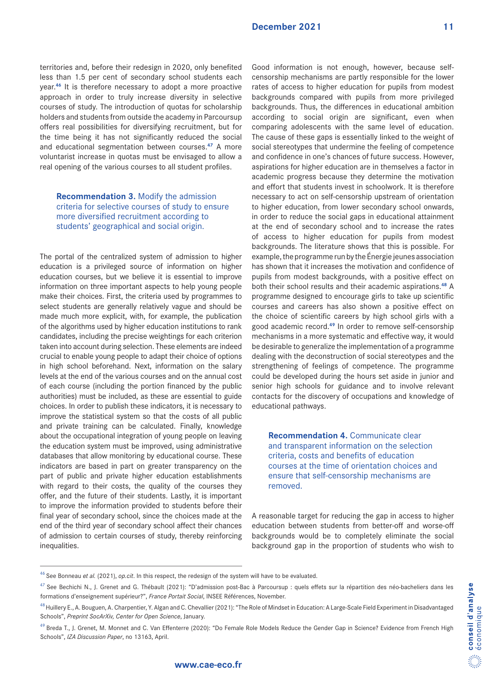territories and, before their redesign in 2020, only benefited less than 1.5 per cent of secondary school students each year.**46** It is therefore necessary to adopt a more proactive approach in order to truly increase diversity in selective courses of study. The introduction of quotas for scholarship holders and students from outside the academy in Parcoursup offers real possibilities for diversifying recruitment, but for the time being it has not significantly reduced the social and educational segmentation between courses.**47** A more voluntarist increase in quotas must be envisaged to allow a real opening of the various courses to all student profiles.

**Recommendation 3.** Modify the admission criteria for selective courses of study to ensure more diversified recruitment according to students' geographical and social origin.

The portal of the centralized system of admission to higher education is a privileged source of information on higher education courses, but we believe it is essential to improve information on three important aspects to help young people make their choices. First, the criteria used by programmes to select students are generally relatively vague and should be made much more explicit, with, for example, the publication of the algorithms used by higher education institutions to rank candidates, including the precise weightings for each criterion taken into account during selection. These elements are indeed crucial to enable young people to adapt their choice of options in high school beforehand. Next, information on the salary levels at the end of the various courses and on the annual cost of each course (including the portion financed by the public authorities) must be included, as these are essential to guide choices. In order to publish these indicators, it is necessary to improve the statistical system so that the costs of all public and private training can be calculated. Finally, knowledge about the occupational integration of young people on leaving the education system must be improved, using administrative databases that allow monitoring by educational course. These indicators are based in part on greater transparency on the part of public and private higher education establishments with regard to their costs, the quality of the courses they offer, and the future of their students. Lastly, it is important to improve the information provided to students before their final year of secondary school, since the choices made at the end of the third year of secondary school affect their chances of admission to certain courses of study, thereby reinforcing inequalities.

Good information is not enough, however, because selfcensorship mechanisms are partly responsible for the lower rates of access to higher education for pupils from modest backgrounds compared with pupils from more privileged backgrounds. Thus, the differences in educational ambition according to social origin are significant, even when comparing adolescents with the same level of education. The cause of these gaps is essentially linked to the weight of social stereotypes that undermine the feeling of competence and confidence in one's chances of future success. However, aspirations for higher education are in themselves a factor in academic progress because they determine the motivation and effort that students invest in schoolwork. It is therefore necessary to act on self-censorship upstream of orientation to higher education, from lower secondary school onwards, in order to reduce the social gaps in educational attainment at the end of secondary school and to increase the rates of access to higher education for pupils from modest backgrounds. The literature shows that this is possible. For example, the programme run by the Énergie jeunes association has shown that it increases the motivation and confidence of pupils from modest backgrounds, with a positive effect on both their school results and their academic aspirations.**48** A programme designed to encourage girls to take up scientific courses and careers has also shown a positive effect on the choice of scientific careers by high school girls with a good academic record.**49** In order to remove self-censorship mechanisms in a more systematic and effective way, it would be desirable to generalize the implementation of a programme dealing with the deconstruction of social stereotypes and the strengthening of feelings of competence. The programme could be developed during the hours set aside in junior and senior high schools for guidance and to involve relevant contacts for the discovery of occupations and knowledge of educational pathways.

**Recommendation 4. Communicate clear** and transparent information on the selection criteria, costs and benefits of education courses at the time of orientation choices and ensure that self-censorship mechanisms are removed.

A reasonable target for reducing the gap in access to higher education between students from better-off and worse-off backgrounds would be to completely eliminate the social background gap in the proportion of students who wish to

<sup>46</sup> See Bonneau *et al.* (2021), *op.cit*. In this respect, the redesign of the system will have to be evaluated.

<sup>&</sup>lt;sup>47</sup> See Bechichi N., J. Grenet and G. Thébault (2021): "D'admission post-Bac à Parcoursup : quels effets sur la répartition des néo-bacheliers dans les formations d'enseignement supérieur?", *France Portait Social*, INSEE Références, November.

<sup>&</sup>lt;sup>48</sup> Huillery E., A. Bouguen, A. Charpentier, Y. Algan and C. Chevallier (2021): "The Role of Mindset in Education: A Large-Scale Field Experiment in Disadvantaged Schools", *Preprint SocArXiv, Center for Open Science*, January.

<sup>&</sup>lt;sup>49</sup> Breda T., J. Grenet, M. Monnet and C. Van Effenterre (2020): "Do Female Role Models Reduce the Gender Gap in Science? Evidence from French High Schools", *IZA Discussion Paper*, no 13163, April.